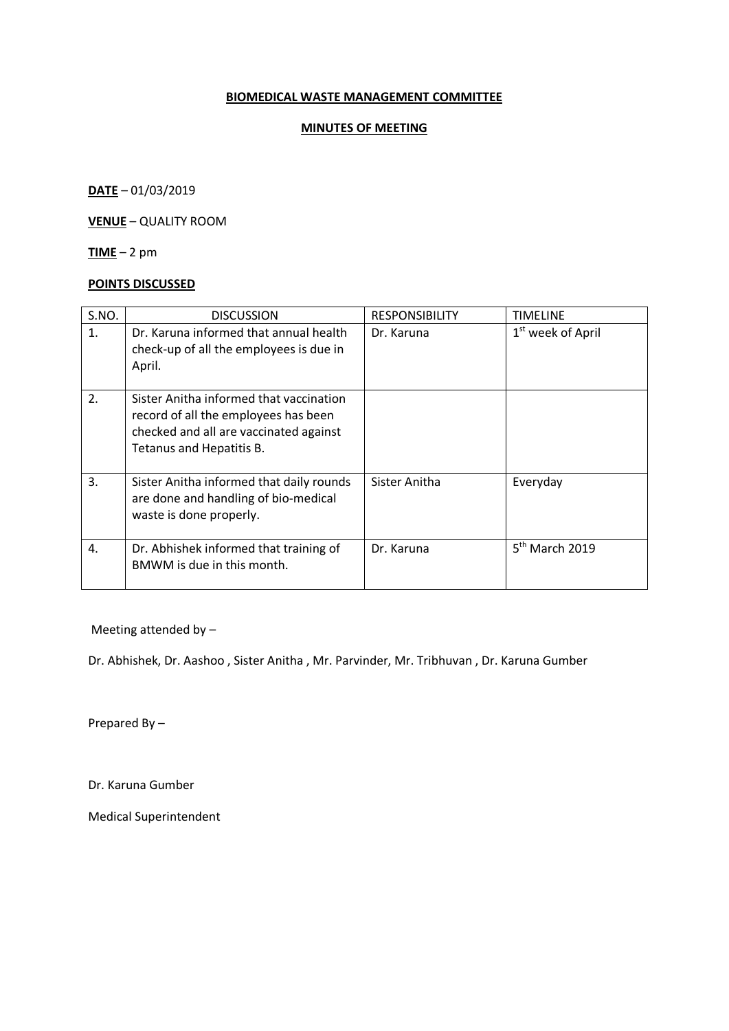## **BIOMEDICAL WASTE MANAGEMENT COMMITTEE**

## **MINUTES OF MEETING**

**DATE** – 01/03/2019

**VENUE** – QUALITY ROOM

**TIME** – 2 pm

### **POINTS DISCUSSED**

| S.NO. | <b>DISCUSSION</b>                                                                                                                                     | <b>RESPONSIBILITY</b> | TIMELINE                      |
|-------|-------------------------------------------------------------------------------------------------------------------------------------------------------|-----------------------|-------------------------------|
| 1.    | Dr. Karuna informed that annual health<br>check-up of all the employees is due in<br>April.                                                           | Dr. Karuna            | 1 <sup>st</sup> week of April |
| 2.    | Sister Anitha informed that vaccination<br>record of all the employees has been<br>checked and all are vaccinated against<br>Tetanus and Hepatitis B. |                       |                               |
| 3.    | Sister Anitha informed that daily rounds<br>are done and handling of bio-medical<br>waste is done properly.                                           | Sister Anitha         | Everyday                      |
| 4.    | Dr. Abhishek informed that training of<br>BMWM is due in this month.                                                                                  | Dr. Karuna            | $5th$ March 2019              |

Meeting attended by –

Dr. Abhishek, Dr. Aashoo , Sister Anitha , Mr. Parvinder, Mr. Tribhuvan , Dr. Karuna Gumber

Prepared By –

Dr. Karuna Gumber

Medical Superintendent